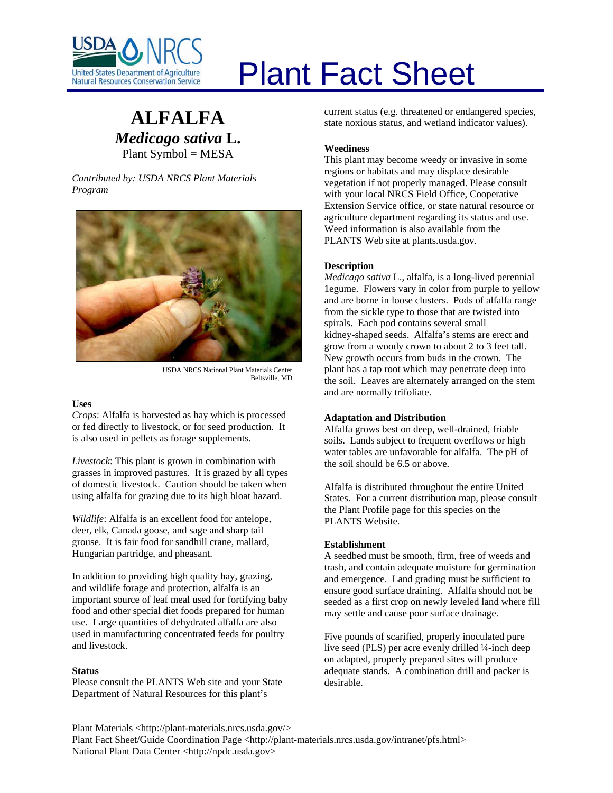

# **ALFALFA** *Medicago sativa* **L.** Plant Symbol = MESA

*Contributed by: USDA NRCS Plant Materials Program* 



USDA NRCS National Plant Materials Center Beltsville, MD

#### **Uses**

*Crops*: Alfalfa is harvested as hay which is processed or fed directly to livestock, or for seed production. It is also used in pellets as forage supplements.

*Livestock*: This plant is grown in combination with grasses in improved pastures. It is grazed by all types of domestic livestock. Caution should be taken when using alfalfa for grazing due to its high bloat hazard.

*Wildlife*: Alfalfa is an excellent food for antelope, deer, elk, Canada goose, and sage and sharp tail grouse. It is fair food for sandhill crane, mallard, Hungarian partridge, and pheasant.

In addition to providing high quality hay, grazing, and wildlife forage and protection, alfalfa is an important source of leaf meal used for fortifying baby food and other special diet foods prepared for human use. Large quantities of dehydrated alfalfa are also used in manufacturing concentrated feeds for poultry and livestock.

#### **Status**

Please consult the PLANTS Web site and your State Department of Natural Resources for this plant's

# Plant Fact Sheet

current status (e.g. threatened or endangered species, state noxious status, and wetland indicator values).

# **Weediness**

This plant may become weedy or invasive in some regions or habitats and may displace desirable vegetation if not properly managed. Please consult with your local NRCS Field Office, Cooperative Extension Service office, or state natural resource or agriculture department regarding its status and use. Weed information is also available from the PLANTS Web site at plants.usda.gov.

# **Description**

*Medicago sativa* L., alfalfa, is a long-lived perennial 1egume. Flowers vary in color from purple to yellow and are borne in loose clusters. Pods of alfalfa range from the sickle type to those that are twisted into spirals. Each pod contains several small kidney-shaped seeds. Alfalfa's stems are erect and grow from a woody crown to about 2 to 3 feet tall. New growth occurs from buds in the crown. The plant has a tap root which may penetrate deep into the soil. Leaves are alternately arranged on the stem and are normally trifoliate.

# **Adaptation and Distribution**

Alfalfa grows best on deep, well-drained, friable soils. Lands subject to frequent overflows or high water tables are unfavorable for alfalfa. The pH of the soil should be 6.5 or above.

Alfalfa is distributed throughout the entire United States. For a current distribution map, please consult the Plant Profile page for this species on the PLANTS Website.

# **Establishment**

A seedbed must be smooth, firm, free of weeds and trash, and contain adequate moisture for germination and emergence. Land grading must be sufficient to ensure good surface draining. Alfalfa should not be seeded as a first crop on newly leveled land where fill may settle and cause poor surface drainage.

Five pounds of scarified, properly inoculated pure live seed (PLS) per acre evenly drilled ¼-inch deep on adapted, properly prepared sites will produce adequate stands. A combination drill and packer is desirable.

Plant Materials <http://plant-materials.nrcs.usda.gov/> Plant Fact Sheet/Guide Coordination Page <http://plant-materials.nrcs.usda.gov/intranet/pfs.html> National Plant Data Center <http://npdc.usda.gov>